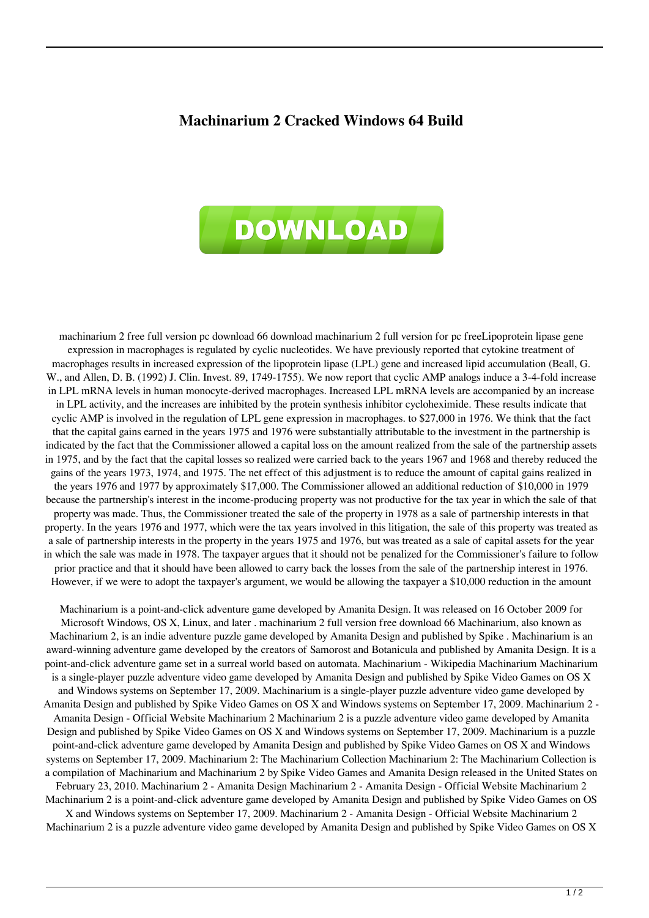## **Machinarium 2 Cracked Windows 64 Build**



machinarium 2 free full version pc download 66 download machinarium 2 full version for pc freeLipoprotein lipase gene expression in macrophages is regulated by cyclic nucleotides. We have previously reported that cytokine treatment of macrophages results in increased expression of the lipoprotein lipase (LPL) gene and increased lipid accumulation (Beall, G. W., and Allen, D. B. (1992) J. Clin. Invest. 89, 1749-1755). We now report that cyclic AMP analogs induce a 3-4-fold increase in LPL mRNA levels in human monocyte-derived macrophages. Increased LPL mRNA levels are accompanied by an increase in LPL activity, and the increases are inhibited by the protein synthesis inhibitor cycloheximide. These results indicate that cyclic AMP is involved in the regulation of LPL gene expression in macrophages. to \$27,000 in 1976. We think that the fact that the capital gains earned in the years 1975 and 1976 were substantially attributable to the investment in the partnership is indicated by the fact that the Commissioner allowed a capital loss on the amount realized from the sale of the partnership assets in 1975, and by the fact that the capital losses so realized were carried back to the years 1967 and 1968 and thereby reduced the gains of the years 1973, 1974, and 1975. The net effect of this adjustment is to reduce the amount of capital gains realized in the years 1976 and 1977 by approximately \$17,000. The Commissioner allowed an additional reduction of \$10,000 in 1979 because the partnership's interest in the income-producing property was not productive for the tax year in which the sale of that property was made. Thus, the Commissioner treated the sale of the property in 1978 as a sale of partnership interests in that property. In the years 1976 and 1977, which were the tax years involved in this litigation, the sale of this property was treated as a sale of partnership interests in the property in the years 1975 and 1976, but was treated as a sale of capital assets for the year in which the sale was made in 1978. The taxpayer argues that it should not be penalized for the Commissioner's failure to follow prior practice and that it should have been allowed to carry back the losses from the sale of the partnership interest in 1976. However, if we were to adopt the taxpayer's argument, we would be allowing the taxpayer a \$10,000 reduction in the amount

Machinarium is a point-and-click adventure game developed by Amanita Design. It was released on 16 October 2009 for Microsoft Windows, OS X, Linux, and later . machinarium 2 full version free download 66 Machinarium, also known as Machinarium 2, is an indie adventure puzzle game developed by Amanita Design and published by Spike . Machinarium is an award-winning adventure game developed by the creators of Samorost and Botanicula and published by Amanita Design. It is a point-and-click adventure game set in a surreal world based on automata. Machinarium - Wikipedia Machinarium Machinarium is a single-player puzzle adventure video game developed by Amanita Design and published by Spike Video Games on OS X and Windows systems on September 17, 2009. Machinarium is a single-player puzzle adventure video game developed by Amanita Design and published by Spike Video Games on OS X and Windows systems on September 17, 2009. Machinarium 2 - Amanita Design - Official Website Machinarium 2 Machinarium 2 is a puzzle adventure video game developed by Amanita Design and published by Spike Video Games on OS X and Windows systems on September 17, 2009. Machinarium is a puzzle point-and-click adventure game developed by Amanita Design and published by Spike Video Games on OS X and Windows systems on September 17, 2009. Machinarium 2: The Machinarium Collection Machinarium 2: The Machinarium Collection is a compilation of Machinarium and Machinarium 2 by Spike Video Games and Amanita Design released in the United States on February 23, 2010. Machinarium 2 - Amanita Design Machinarium 2 - Amanita Design - Official Website Machinarium 2 Machinarium 2 is a point-and-click adventure game developed by Amanita Design and published by Spike Video Games on OS X and Windows systems on September 17, 2009. Machinarium 2 - Amanita Design - Official Website Machinarium 2 Machinarium 2 is a puzzle adventure video game developed by Amanita Design and published by Spike Video Games on OS X